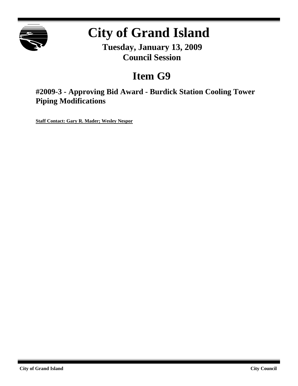

# **City of Grand Island**

**Tuesday, January 13, 2009 Council Session**

## **Item G9**

**#2009-3 - Approving Bid Award - Burdick Station Cooling Tower Piping Modifications**

**Staff Contact: Gary R. Mader; Wesley Nespor**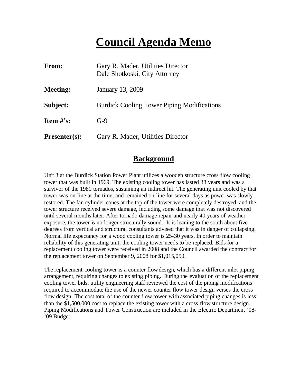## **Council Agenda Memo**

| From:                | Gary R. Mader, Utilities Director<br>Dale Shotkoski, City Attorney |
|----------------------|--------------------------------------------------------------------|
| <b>Meeting:</b>      | <b>January 13, 2009</b>                                            |
| Subject:             | <b>Burdick Cooling Tower Piping Modifications</b>                  |
| <b>Item</b> $\#$ 's: | $G-9$                                                              |
| <b>Presenter(s):</b> | Gary R. Mader, Utilities Director                                  |

#### **Background**

Unit 3 at the Burdick Station Power Plant utilizes a wooden structure cross flow cooling tower that was built in 1969. The existing cooling tower has lasted 38 years and was a survivor of the 1980 tornados, sustaining an indirect hit. The generating unit cooled by that tower was on-line at the time, and remained on-line for several days as power was slowly restored. The fan cylinder cones at the top of the tower were completely destroyed, and the tower structure received severe damage, including some damage that was not discovered until several months later. After tornado damage repair and nearly 40 years of weather exposure, the tower is no longer structurally sound. It is leaning to the south about five degrees from vertical and structural consultants advised that it was in danger of collapsing. Normal life expectancy for a wood cooling tower is 25-30 years. In order to maintain reliability of this generating unit, the cooling tower needs to be replaced. Bids for a replacement cooling tower were received in 2008 and the Council awarded the contract for the replacement tower on September 9, 2008 for \$1,015,050.

The replacement cooling tower is a counter flow design, which has a different inlet piping arrangement, requiring changes to existing piping. During the evaluation of the replacement cooling tower bids, utility engineering staff reviewed the cost of the piping modifications required to accommodate the use of the newer counter flow tower design verses the cross flow design. The cost total of the counter flow tower with associated piping changes is less than the \$1,500,000 cost to replace the existing tower with a cross flow structure design. Piping Modifications and Tower Construction are included in the Electric Department '08- '09 Budget.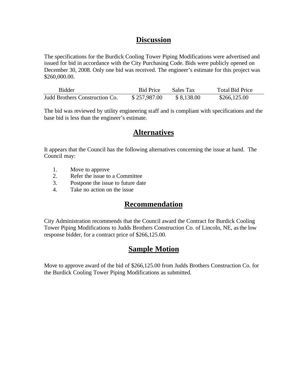## **Discussion**

The specifications for the Burdick Cooling Tower Piping Modifications were advertised and issued for bid in accordance with the City Purchasing Code. Bids were publicly opened on December 30, 2008. Only one bid was received. The engineer's estimate for this project was \$260,000.00.

| <b>Bidder</b>                  | <b>Bid Price</b> | Sales Tax  | Total Bid Price |
|--------------------------------|------------------|------------|-----------------|
| Judd Brothers Construction Co. | \$257,987.00     | \$8,138.00 | \$266,125.00    |

The bid was reviewed by utility engineering staff and is compliant with specifications and the base bid is less than the engineer's estimate.

## **Alternatives**

It appears that the Council has the following alternatives concerning the issue at hand. The Council may:

- 1. Move to approve
- 2. Refer the issue to a Committee
- 3. Postpone the issue to future date
- 4. Take no action on the issue

## **Recommendation**

City Administration recommends that the Council award the Contract for Burdick Cooling Tower Piping Modifications to Judds Brothers Construction Co. of Lincoln, NE, as the low response bidder, for a contract price of \$266,125.00.

## **Sample Motion**

Move to approve award of the bid of \$266,125.00 from Judds Brothers Construction Co. for the Burdick Cooling Tower Piping Modifications as submitted.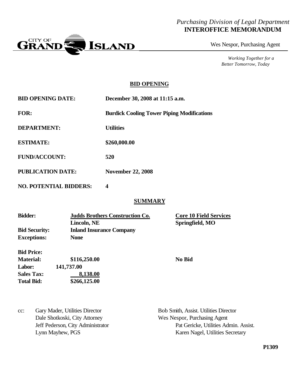#### *Purchasing Division of Legal Department* **INTEROFFICE MEMORANDUM**



Wes Nespor, Purchasing Agent

*Working Together for a Better Tomorrow, Today*

#### **BID OPENING**

| <b>BID OPENING DATE:</b> | December 30, 2008 at 11:15 a.m.                   |
|--------------------------|---------------------------------------------------|
| <b>FOR:</b>              | <b>Burdick Cooling Tower Piping Modifications</b> |
| <b>DEPARTMENT:</b>       | <b>Utilities</b>                                  |
| <b>ESTIMATE:</b>         | \$260,000.00                                      |
| <b>FUND/ACCOUNT:</b>     | 520                                               |
| <b>PUBLICATION DATE:</b> | <b>November 22, 2008</b>                          |

**NO. POTENTIAL BIDDERS: 4**

#### **SUMMARY**

| <b>Bidder:</b>       | <b>Judds Brothers Construction Co.</b> | <b>Core 10 Field Services</b> |  |
|----------------------|----------------------------------------|-------------------------------|--|
|                      | Lincoln, NE                            | Springfield, MO               |  |
| <b>Bid Security:</b> | <b>Inland Insurance Company</b>        |                               |  |
| <b>Exceptions:</b>   | <b>None</b>                            |                               |  |
| <b>Bid Price:</b>    |                                        |                               |  |
| <b>Material:</b>     | \$116,250.00                           | No Bid                        |  |

cc: Gary Mader, Utilities Director Bob Smith, Assist. Utilities Director Dale Shotkoski, City Attorney Wes Nespor, Purchasing Agent

**Labor: 141,737.00**

**Sales Tax: 8,138.00 Total Bid: \$266,125.00**

> Jeff Pederson, City Administrator Pat Gericke, Utilities Admin. Assist. Lynn Mayhew, PGS Karen Nagel, Utilities Secretary